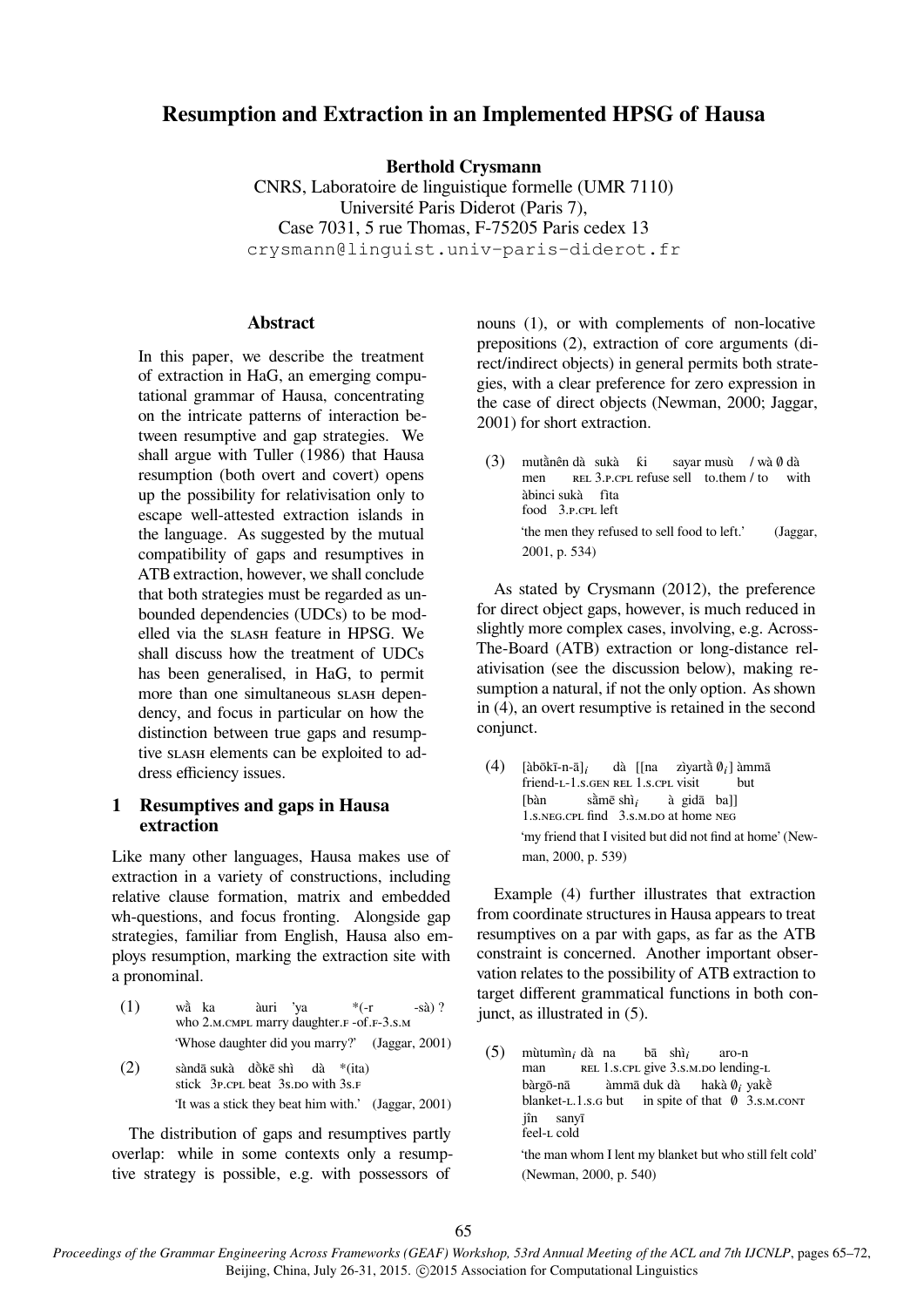# **Resumption and Extraction in an Implemented HPSG of Hausa**

**Berthold Crysmann**

CNRS, Laboratoire de linguistique formelle (UMR 7110) Université Paris Diderot (Paris 7), Case 7031, 5 rue Thomas, F-75205 Paris cedex 13 crysmann@linguist.univ-paris-diderot.fr

### **Abstract**

In this paper, we describe the treatment of extraction in HaG, an emerging computational grammar of Hausa, concentrating on the intricate patterns of interaction between resumptive and gap strategies. We shall argue with Tuller (1986) that Hausa resumption (both overt and covert) opens up the possibility for relativisation only to escape well-attested extraction islands in the language. As suggested by the mutual compatibility of gaps and resumptives in ATB extraction, however, we shall conclude that both strategies must be regarded as unbounded dependencies (UDCs) to be modelled via the slash feature in HPSG. We shall discuss how the treatment of UDCs has been generalised, in HaG, to permit more than one simultaneous sLASH dependency, and focus in particular on how the distinction between true gaps and resumptive sLASH elements can be exploited to address efficiency issues.

## **1 Resumptives and gaps in Hausa extraction**

Like many other languages, Hausa makes use of extraction in a variety of constructions, including relative clause formation, matrix and embedded wh-questions, and focus fronting. Alongside gap strategies, familiar from English, Hausa also employs resumption, marking the extraction site with a pronominal.

- $(1)$ who 2.м.смрL marry daughter. F-of. F-3.s.м  $w^2_2$  ka àuri 'ya  $*(-r)$ -sà) ? 'Whose daughter did you marry?' (Jaggar, 2001)
- (2) sàndā sukà dṑkē shì dà \*(ita) stick 3P.CPL beat 3s.DO with 3s.F 'It was a stick they beat him with.' (Jaggar, 2001)

The distribution of gaps and resumptives partly overlap: while in some contexts only a resumptive strategy is possible, e.g. with possessors of

nouns (1), or with complements of non-locative prepositions (2), extraction of core arguments (direct/indirect objects) in general permits both strategies, with a clear preference for zero expression in the case of direct objects (Newman, 2000; Jaggar, 2001) for short extraction.

(3) mutā̀nên dà sukà ƙi men REL 3.P.CPL refuse sell to.them / to sayar musù / wà Ø dà with àbinci sukà fìta food 3.P.CPL left 'the men they refused to sell food to left.' (Jaggar, 2001, p. 534)

As stated by Crysmann (2012), the preference for direct object gaps, however, is much reduced in slightly more complex cases, involving, e.g. Across-The-Board (ATB) extraction or long-distance relativisation (see the discussion below), making resumption a natural, if not the only option. As shown in (4), an overt resumptive is retained in the second conjunct.

 $(4)$  [àbōkī-n-ā]<sub>i</sub> friend-L-1.s. GEN REL 1.s. CPL visit dà [[na zìyartà  $\emptyset_i$ ] àmmā but [bàn 1.s. NEG. CPL find 3.s.M. DO at home NEG  $s$ ā̀mē shì $_i$ à gidā ba]] 'my friend that I visited but did not find at home' (Newman, 2000, p. 539)

Example (4) further illustrates that extraction from coordinate structures in Hausa appears to treat resumptives on a par with gaps, as far as the ATB constraint is concerned. Another important observation relates to the possibility of ATB extraction to target different grammatical functions in both conjunct, as illustrated in (5).

 $(5)$  mùtumìn<sub>i</sub> dà na man REL 1.s.CPL give 3.s.m.DO lending-L  $b\bar{a}$  shì<sub>i</sub> aro-n bàrgō-nā blanket-L.1.s. G but in spite of that  $\theta$  3.s.m. CONT àmmā duk dà hakà Ø<sub>i</sub> yakè jîn sanyī feel-L cold 'the man whom I lent my blanket but who still felt cold' (Newman, 2000, p. 540)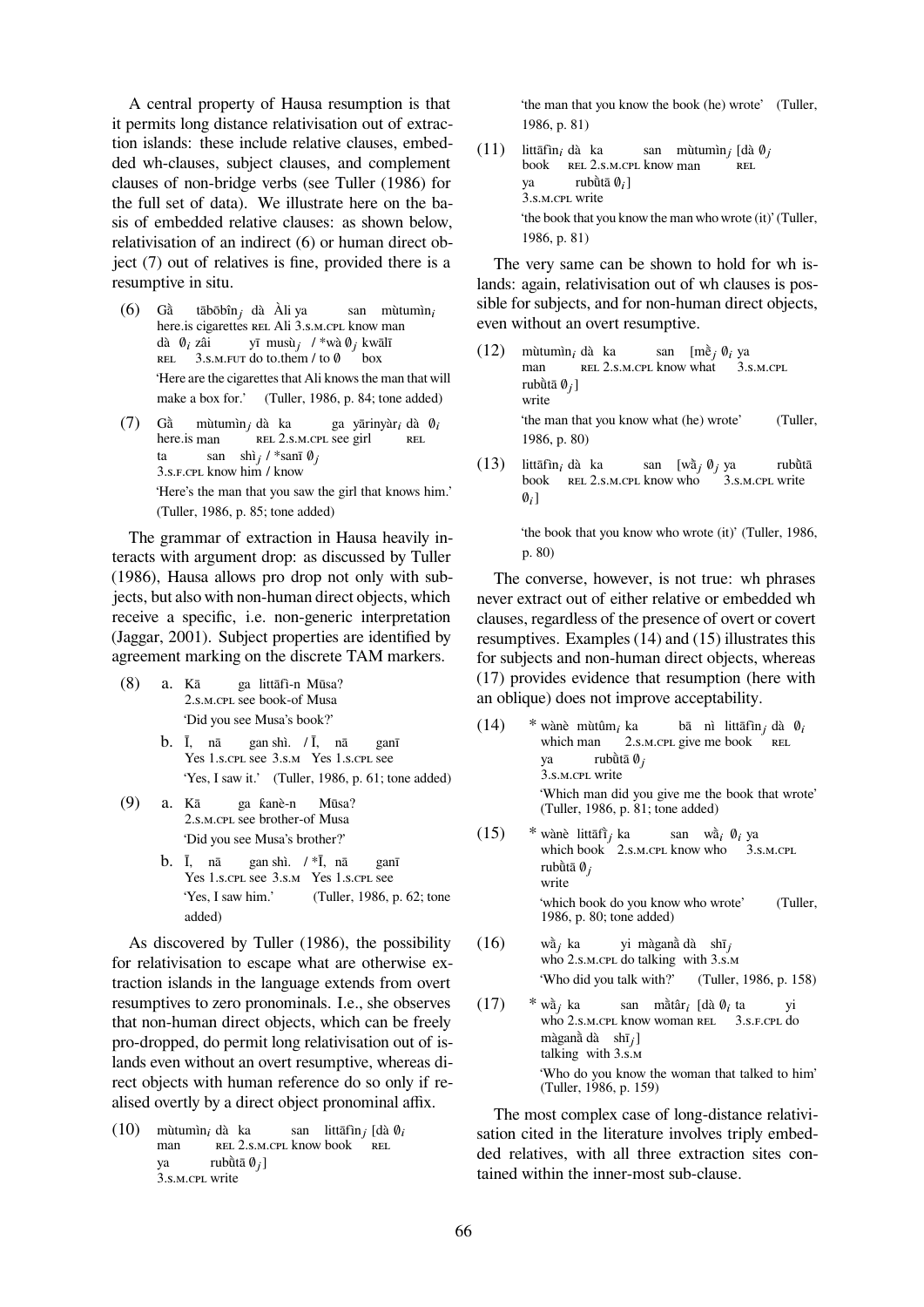A central property of Hausa resumption is that it permits long distance relativisation out of extraction islands: these include relative clauses, embedded wh-clauses, subject clauses, and complement clauses of non-bridge verbs (see Tuller (1986) for the full set of data). We illustrate here on the basis of embedded relative clauses: as shown below, relativisation of an indirect (6) or human direct object (7) out of relatives is fine, provided there is a resumptive in situ.

- (6) Gā̀ here.is cigarettes REL Ali 3.s.M.CPL know man tābōbîn<sub>j</sub> dà Àliya san mùtumìn $_i$ dà  $\theta_i$  zâi REL 3.s.m. Fur do to.them / to Ø yī musù  $j \neq$  wà  $\emptyset_j$  kwālī box 'Here are the cigarettes that Ali knows the man that will make a box for.' (Tuller, 1986, p. 84; tone added)
- (7) Gā̀ here.is man mùtumìn<sub>*j*</sub> dà ka REL 2.S.M.CPL see girl ga yārinyàr<sub>i</sub> dà  $\emptyset_i$ REL ta 3.s.F.CPL know him / know san shì / \*sanī  $\theta_j$ 'Here's the man that you saw the girl that knows him.' (Tuller, 1986, p. 85; tone added)

The grammar of extraction in Hausa heavily interacts with argument drop: as discussed by Tuller (1986), Hausa allows pro drop not only with subjects, but also with non-human direct objects, which receive a specific, i.e. non-generic interpretation (Jaggar, 2001). Subject properties are identified by agreement marking on the discrete TAM markers.

- (8) a. Kā 2.s.m.cpl see book-of Musa ga littāfì-n Mūsa? 'Did you see Musa's book?'
	- b. Ī, nā Yes 1.s.cpl see 3.s.m Yes 1.s.cpl see gan shì. / Ī, nā ganī 'Yes, I saw it.' (Tuller, 1986, p. 61; tone added)
- (9) a. Kā 2.s.m.cpl see brother-of Musa ga ƙanè-n Mūsa? 'Did you see Musa's brother?'
	- b. Ī, nā Yes 1.s.cpl see 3.s.m Yes 1.s.cpl see gan shì. / \*Ī, nā ganī 'Yes, I saw him.' (Tuller, 1986, p. 62; tone added)

As discovered by Tuller (1986), the possibility for relativisation to escape what are otherwise extraction islands in the language extends from overt resumptives to zero pronominals. I.e., she observes that non-human direct objects, which can be freely pro-dropped, do permit long relativisation out of islands even without an overt resumptive, whereas direct objects with human reference do so only if realised overtly by a direct object pronominal affix.

 $(10)$  mùtumìn<sub>i</sub> dà ka man REL 2.S.M.CPL know book san littāfin<sub>j</sub> [dà  $\emptyset_i$  $\overline{R}$  REL ya 3.s.m.cpL write rubū̃tā  $\emptyset_j$ ]

'the man that you know the book (he) wrote' (Tuller, 1986, p. 81)

 $(11)$  littāfin<sub>i</sub> dà ka book REL 2.S.M.CPL know man san mùtumìn<sub>j</sub> [dà Ø<sub>j</sub> REL ya 3.s.m.cpL write rubū̃tā  $\emptyset_i$ ] 'the book that you know the man who wrote (it)' (Tuller, 1986, p. 81)

The very same can be shown to hold for wh islands: again, relativisation out of wh clauses is possible for subjects, and for non-human direct objects, even without an overt resumptive.

- $(12)$  mùtumìn<sub>i</sub> dà ka man REL 2.S.M.CPL know what san  $[m\ddot{\tilde{e}}_j \ \emptyset_i\]$ ya .<br>3.s.м.cpl rubū̃tā  $\emptyset_j$ ] write 'the man that you know what (he) wrote' (Tuller, 1986, p. 80)
- $(13)$  littāfìn<sub>i</sub> dà ka book REL 2.S.M.CPL know who san  $[w\ddot{a}_j \ \theta_j\$ ya 3.s.m.cpL write rubū̀tā  $\emptyset_i$

'the book that you know who wrote (it)' (Tuller, 1986, p. 80)

The converse, however, is not true: wh phrases never extract out of either relative or embedded wh clauses, regardless of the presence of overt or covert resumptives. Examples (14) and (15) illustrates this for subjects and non-human direct objects, whereas (17) provides evidence that resumption (here with an oblique) does not improve acceptability.

- $(14)$  \* wànè mùtûm<sub>i</sub> ka which man 2.s.m.cpl give me book REL bā nì littāfìn<sub>j</sub> dà  $\emptyset_i$ ya 3.s.m.cpL write rubū̀tā  $\emptyset_j$ 'Which man did you give me the book that wrote' (Tuller, 1986, p. 81; tone added)
- $(15)$  \* wànè littāfi<sup>j</sup> ka which book 2.s.m.cpl know who san wà<sub>i</sub>  $\theta_i$  ya 3.s.m.cpl rubū̀tā  $\emptyset_j$ write 'which book do you know who wrote' (Tuller, 1986, p. 80; tone added)
- $(16)$ j ka who 2.s.m.cpl do talking with 3.s.m yi màganà dà shī<sub>j</sub> 'Who did you talk with?' (Tuller, 1986, p. 158)
- $(17)$  \* w $a_j$  ka who 2.s.m.cpL know woman REL san màtâr<sub>i</sub> [dà  $\emptyset_i$  ta 3.s.F.CPL do yi màganā̀ dà  $\sin j$ ] talking with 3.s.m 'Who do you know the woman that talked to him' (Tuller, 1986, p. 159)

The most complex case of long-distance relativisation cited in the literature involves triply embedded relatives, with all three extraction sites contained within the inner-most sub-clause.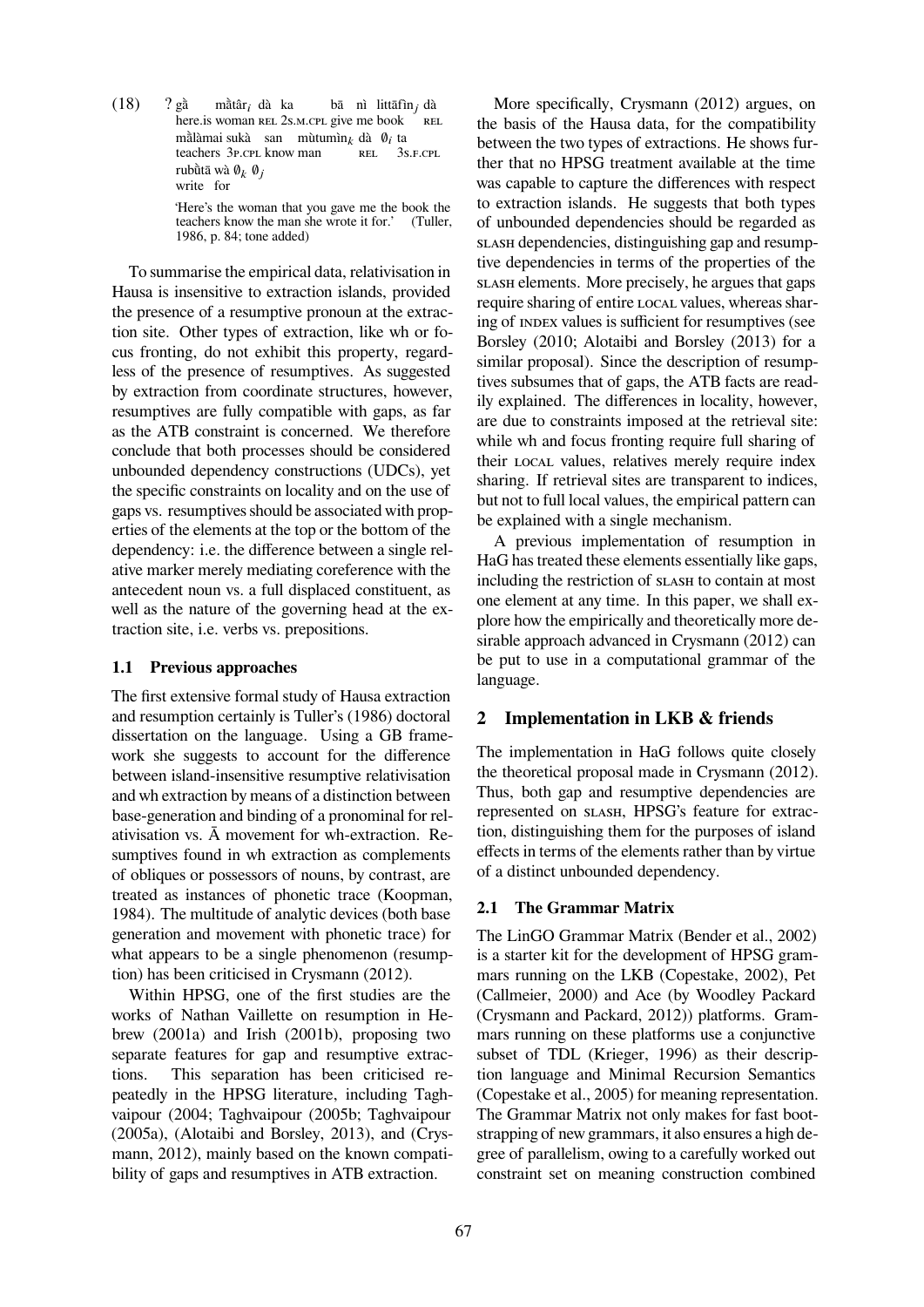$(18)$  ?  $g\ddot{a}$ here.is woman REL 2s.M.CPL give me book  $m$ ā̄târ $_i$  dà ka bā nì littāfìn<sub>j</sub> dà REL màlàmai sukà san mùtumìn<sub>k</sub> dà  $\theta_i$  ta teachers 3P.CPL know man REL 3<sub>S</sub>. F. CPL rubū̃tā wà  $\mathbf{0}_k$   $\mathbf{0}_j$ write for 'Here's the woman that you gave me the book the teachers know the man she wrote it for.' (Tuller,

1986, p. 84; tone added)

To summarise the empirical data, relativisation in Hausa is insensitive to extraction islands, provided the presence of a resumptive pronoun at the extraction site. Other types of extraction, like wh or focus fronting, do not exhibit this property, regardless of the presence of resumptives. As suggested by extraction from coordinate structures, however, resumptives are fully compatible with gaps, as far as the ATB constraint is concerned. We therefore conclude that both processes should be considered unbounded dependency constructions (UDCs), yet the specific constraints on locality and on the use of gaps vs. resumptives should be associated with properties of the elements at the top or the bottom of the dependency: i.e. the difference between a single relative marker merely mediating coreference with the antecedent noun vs. a full displaced constituent, as well as the nature of the governing head at the extraction site, i.e. verbs vs. prepositions.

### **1.1 Previous approaches**

The first extensive formal study of Hausa extraction and resumption certainly is Tuller's (1986) doctoral dissertation on the language. Using a GB framework she suggests to account for the difference between island-insensitive resumptive relativisation and wh extraction by means of a distinction between base-generation and binding of a pronominal for relativisation vs. Ā movement for wh-extraction. Resumptives found in wh extraction as complements of obliques or possessors of nouns, by contrast, are treated as instances of phonetic trace (Koopman, 1984). The multitude of analytic devices (both base generation and movement with phonetic trace) for what appears to be a single phenomenon (resumption) has been criticised in Crysmann (2012).

Within HPSG, one of the first studies are the works of Nathan Vaillette on resumption in Hebrew (2001a) and Irish (2001b), proposing two separate features for gap and resumptive extractions. This separation has been criticised repeatedly in the HPSG literature, including Taghvaipour (2004; Taghvaipour (2005b; Taghvaipour (2005a), (Alotaibi and Borsley, 2013), and (Crysmann, 2012), mainly based on the known compatibility of gaps and resumptives in ATB extraction.

More specifically, Crysmann (2012) argues, on the basis of the Hausa data, for the compatibility between the two types of extractions. He shows further that no HPSG treatment available at the time was capable to capture the differences with respect to extraction islands. He suggests that both types of unbounded dependencies should be regarded as s LASH dependencies, distinguishing gap and resumptive dependencies in terms of the properties of the stash elements. More precisely, he argues that gaps require sharing of entire LOCAL values, whereas sharing of INDEX values is sufficient for resumptives (see Borsley (2010; Alotaibi and Borsley (2013) for a similar proposal). Since the description of resumptives subsumes that of gaps, the ATB facts are readily explained. The differences in locality, however, are due to constraints imposed at the retrieval site: while wh and focus fronting require full sharing of their **LOCAL** values, relatives merely require index sharing. If retrieval sites are transparent to indices, but not to full local values, the empirical pattern can be explained with a single mechanism.

A previous implementation of resumption in HaG has treated these elements essentially like gaps, including the restriction of slash to contain at most one element at any time. In this paper, we shall explore how the empirically and theoretically more desirable approach advanced in Crysmann (2012) can be put to use in a computational grammar of the language.

## **2 Implementation in LKB & friends**

The implementation in HaG follows quite closely the theoretical proposal made in Crysmann (2012). Thus, both gap and resumptive dependencies are represented on sLASH, HPSG's feature for extraction, distinguishing them for the purposes of island effects in terms of the elements rather than by virtue of a distinct unbounded dependency.

## **2.1 The Grammar Matrix**

The LinGO Grammar Matrix (Bender et al., 2002) is a starter kit for the development of HPSG grammars running on the LKB (Copestake, 2002), Pet (Callmeier, 2000) and Ace (by Woodley Packard (Crysmann and Packard, 2012)) platforms. Grammars running on these platforms use a conjunctive subset of TDL (Krieger, 1996) as their description language and Minimal Recursion Semantics (Copestake et al., 2005) for meaning representation. The Grammar Matrix not only makes for fast bootstrapping of new grammars, it also ensures a high degree of parallelism, owing to a carefully worked out constraint set on meaning construction combined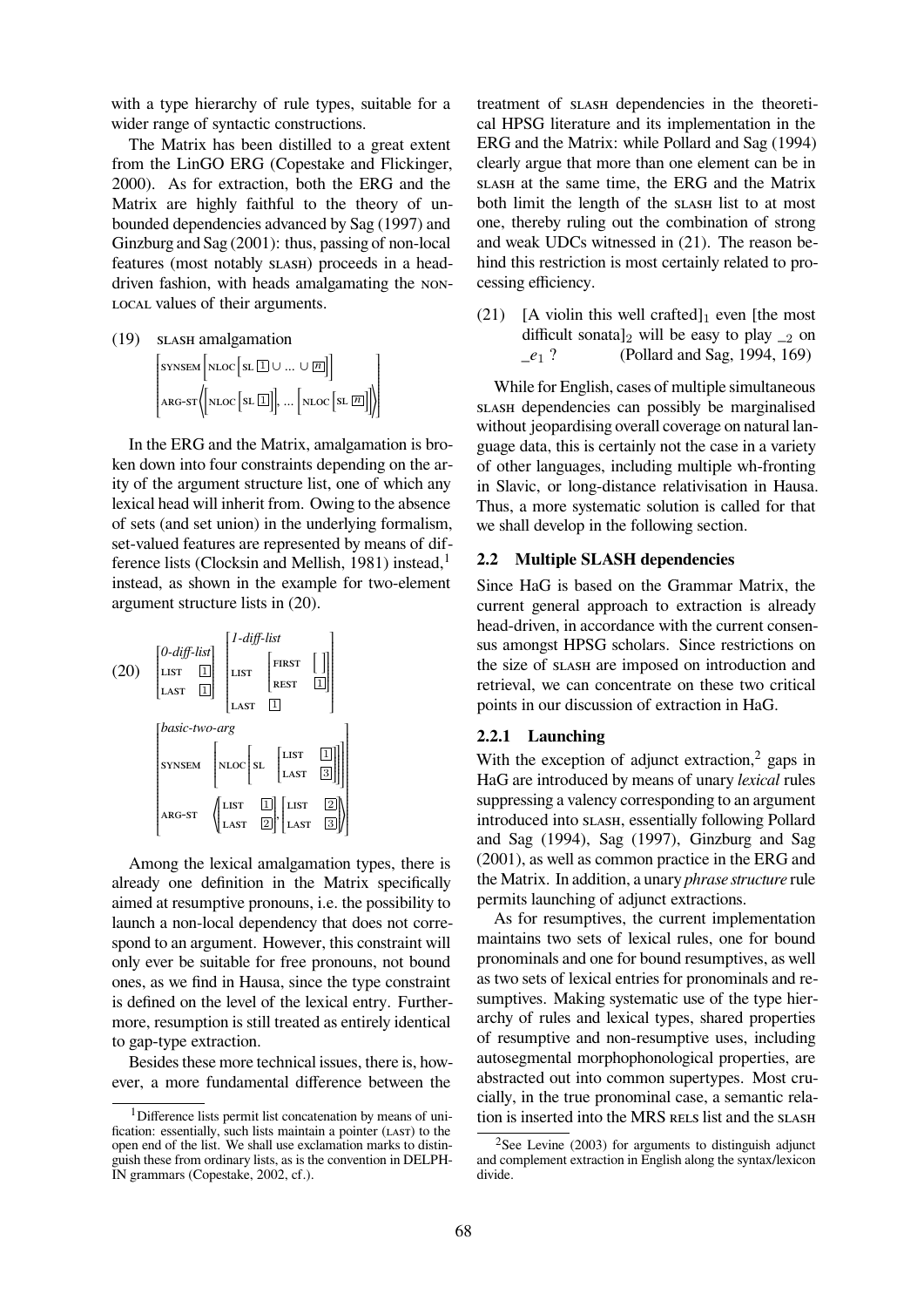with a type hierarchy of rule types, suitable for a wider range of syntactic constructions.

The Matrix has been distilled to a great extent from the LinGO ERG (Copestake and Flickinger, 2000). As for extraction, both the ERG and the Matrix are highly faithful to the theory of unbounded dependencies advanced by Sag (1997) and Ginzburg and Sag (2001): thus, passing of non-local features (most notably sLASH) proceeds in a headdriven fashion, with heads amalgamating the NON-LOCAL values of their arguments.

 $(19)$  slase amalgamation

$$
\begin{bmatrix} \texttt{SYNSEM}\left[\texttt{NLOC}\left[\texttt{SL}\left[\texttt{I}\right]\cup...\cup\texttt{m}\right]\right] \\ \texttt{ARG-ST}\left(\left[\texttt{NLOC}\left[\texttt{SL}\left[\texttt{I}\right]\right],...\left[\texttt{NLOC}\left[\texttt{SL}\left[\overline{n}\right]\right]\right]\right) \end{bmatrix}
$$

In the ERG and the Matrix, amalgamation is broken down into four constraints depending on the arity of the argument structure list, one of which any lexical head will inherit from. Owing to the absence of sets (and set union) in the underlying formalism, set-valued features are represented by means of difference lists (Clocksin and Mellish, 1981) instead, $<sup>1</sup>$ </sup> instead, as shown in the example for two-element argument structure lists in (20).

$$
(20) \begin{bmatrix} 0 \text{-diff-list} \\ \text{LIST} & \boxed{1} \\ \text{LIST} & \boxed{1} \end{bmatrix} \begin{bmatrix} 1 \text{-diff-list} \\ \text{LIST} & \boxed{FIRST} & \boxed{1} \\ \text{REST} & \boxed{1} \end{bmatrix}
$$

$$
\begin{bmatrix} basic-two-arg \\ \text{SNNSEM} & \boxed{NLOC} \begin{bmatrix} SL & \boxed{1} \\ \text{LIST} & \boxed{3} \end{bmatrix} \end{bmatrix}
$$

$$
ABC-ST & \begin{bmatrix} LIST & \boxed{1} \\ \text{LIST} & \boxed{2} \end{bmatrix} \begin{bmatrix} LIST & \boxed{2} \\ \text{LIST} & \boxed{3} \end{bmatrix} \end{bmatrix}
$$

Among the lexical amalgamation types, there is already one definition in the Matrix specifically aimed at resumptive pronouns, i.e. the possibility to launch a non-local dependency that does not correspond to an argument. However, this constraint will only ever be suitable for free pronouns, not bound ones, as we find in Hausa, since the type constraint is defined on the level of the lexical entry. Furthermore, resumption is still treated as entirely identical to gap-type extraction.

Besides these more technical issues, there is, however, a more fundamental difference between the

treatment of slash dependencies in the theoretical HPSG literature and its implementation in the ERG and the Matrix: while Pollard and Sag (1994) clearly argue that more than one element can be in SLASH at the same time, the ERG and the Matrix both limit the length of the slasher list to at most one, thereby ruling out the combination of strong and weak UDCs witnessed in (21). The reason behind this restriction is most certainly related to processing efficiency.

(21) [A violin this well crafted] $_1$  even [the most] difficult sonata] $2$  will be easy to play  $2 \times 2$  on \_*e*<sup>1</sup> ? (Pollard and Sag, 1994, 169)

While for English, cases of multiple simultaneous SLASH dependencies can possibly be marginalised without jeopardising overall coverage on natural language data, this is certainly not the case in a variety of other languages, including multiple wh-fronting in Slavic, or long-distance relativisation in Hausa. Thus, a more systematic solution is called for that we shall develop in the following section.

#### **2.2 Multiple SLASH dependencies**

Since HaG is based on the Grammar Matrix, the current general approach to extraction is already head-driven, in accordance with the current consensus amongst HPSG scholars. Since restrictions on the size of sLASH are imposed on introduction and retrieval, we can concentrate on these two critical points in our discussion of extraction in HaG.

#### **2.2.1 Launching**

With the exception of adjunct extraction, $2$  gaps in HaG are introduced by means of unary *lexical* rules suppressing a valency corresponding to an argument introduced into sLASH, essentially following Pollard and Sag (1994), Sag (1997), Ginzburg and Sag (2001), as well as common practice in the ERG and the Matrix. In addition, a unary *phrase structure* rule permits launching of adjunct extractions.

As for resumptives, the current implementation maintains two sets of lexical rules, one for bound pronominals and one for bound resumptives, as well as two sets of lexical entries for pronominals and resumptives. Making systematic use of the type hierarchy of rules and lexical types, shared properties of resumptive and non-resumptive uses, including autosegmental morphophonological properties, are abstracted out into common supertypes. Most crucially, in the true pronominal case, a semantic relation is inserted into the MRS RELS list and the SLASH

<sup>&</sup>lt;sup>1</sup>Difference lists permit list concatenation by means of unification: essentially, such lists maintain a pointer (LAST) to the open end of the list. We shall use exclamation marks to distinguish these from ordinary lists, as is the convention in DELPH-IN grammars (Copestake, 2002, cf.).

<sup>&</sup>lt;sup>2</sup>See Levine (2003) for arguments to distinguish adjunct and complement extraction in English along the syntax/lexicon divide.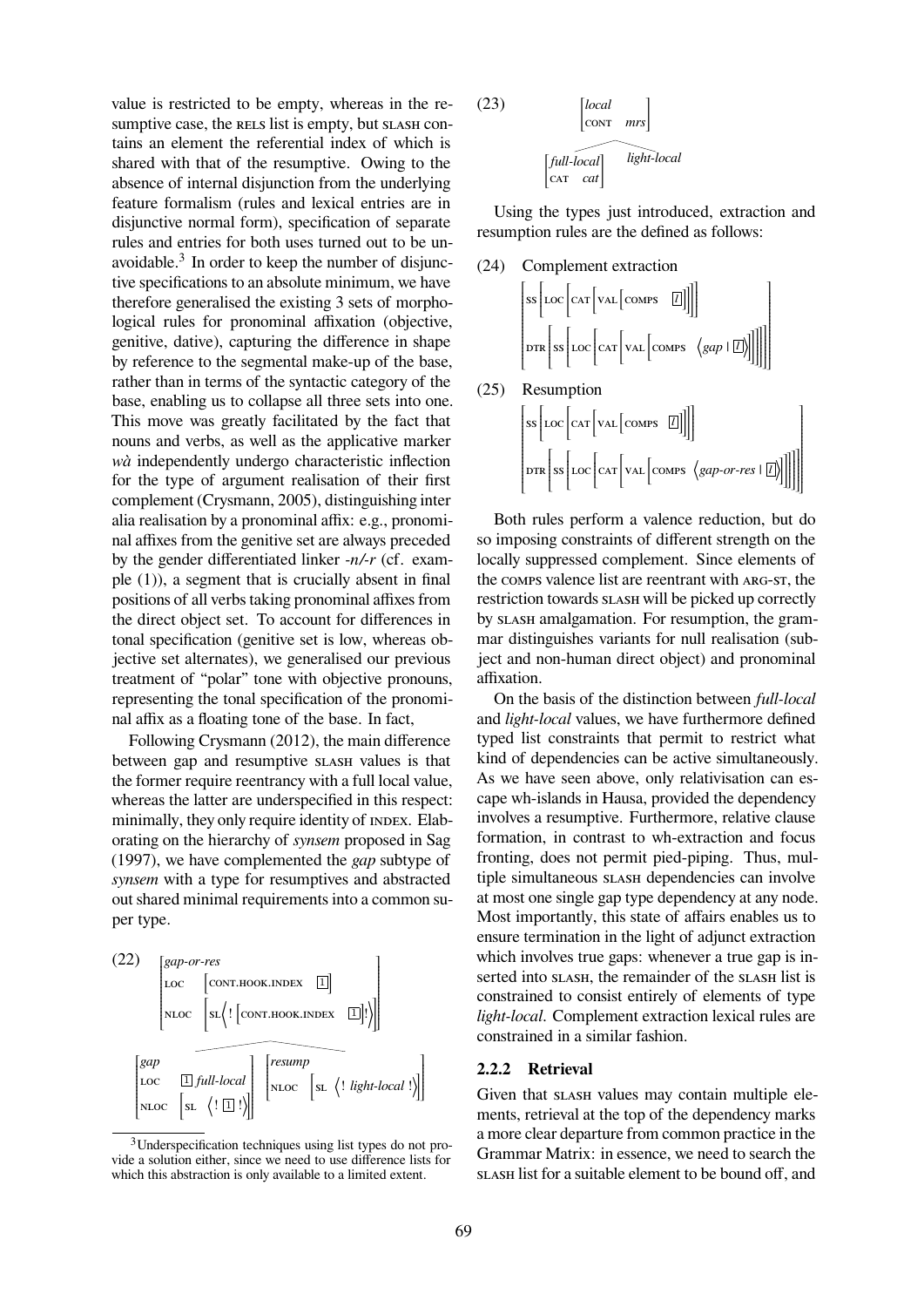value is restricted to be empty, whereas in the resumptive case, the RELS list is empty, but SLASH contains an element the referential index of which is shared with that of the resumptive. Owing to the absence of internal disjunction from the underlying feature formalism (rules and lexical entries are in disjunctive normal form), specification of separate rules and entries for both uses turned out to be unavoidable. $3$  In order to keep the number of disjunctive specifications to an absolute minimum, we have therefore generalised the existing 3 sets of morphological rules for pronominal affixation (objective, genitive, dative), capturing the difference in shape by reference to the segmental make-up of the base, rather than in terms of the syntactic category of the base, enabling us to collapse all three sets into one. This move was greatly facilitated by the fact that nouns and verbs, as well as the applicative marker *wà* independently undergo characteristic inflection for the type of argument realisation of their first complement (Crysmann, 2005), distinguishing inter alia realisation by a pronominal affix: e.g., pronominal affixes from the genitive set are always preceded by the gender differentiated linker *-n/-r* (cf. example (1)), a segment that is crucially absent in final positions of all verbs taking pronominal affixes from the direct object set. To account for differences in tonal specification (genitive set is low, whereas objective set alternates), we generalised our previous treatment of "polar" tone with objective pronouns, representing the tonal specification of the pronominal affix as a floating tone of the base. In fact,

Following Crysmann (2012), the main difference between gap and resumptive slash values is that the former require reentrancy with a full local value, whereas the latter are underspecified in this respect: minimally, they only require identity of  $INDEX$ . Elaborating on the hierarchy of *synsem* proposed in Sag (1997), we have complemented the *gap* subtype of *synsem* with a type for resumptives and abstracted out shared minimal requirements into a common super type.

(22) 
$$
\begin{bmatrix} gap-orres \\ \text{loc} & \text{[CONT.HOOK.INDEX} & \boxed{1} \\ \text{NLOC} & \text{[sL(]: [CONT.HOOK.INDEX} & \boxed{1}]] \end{bmatrix}
$$

$$
(23)
$$
\n
$$
\begin{bmatrix} local \\ corr & mrs \end{bmatrix}
$$
\n
$$
\begin{bmatrix} full-local \\ car & cat \end{bmatrix}
$$
\n
$$
\begin{bmatrix} light-local \\ car & cat \end{bmatrix}
$$

Using the types just introduced, extraction and resumption rules are the defined as follows:

(24) Complement extraction

 ♱♱ ♪♭♡ [ ♡♟♲ [ ♴♟♪ [ ♡♭♫♮♱ l ] ] ] ♢♲♰ ♱♱ ♪♭♡ ♡♟♲ [ ♴♟♪ [ ♡♭♫♮♱ ⟨ *gap |* l ⟩ ] ] 

(25) Resumption

$$
\begin{bmatrix}\n\text{ss} \begin{bmatrix}\n\text{loc} \begin{bmatrix}\n\text{cat} \begin{bmatrix}\n\text{val} \begin{bmatrix}\n\text{conps} \end{bmatrix}\n\end{bmatrix}\n\end{bmatrix}\n\end{bmatrix}\n\text{d}\mathbf{r}\n\end{bmatrix}\n\text{d}\mathbf{r}\n\text{ss} \begin{bmatrix}\n\text{loc} \begin{bmatrix}\n\text{cat} \begin{bmatrix}\n\text{val} \begin{bmatrix}\n\text{conps} \begin{bmatrix}\n\text{conps} \end{bmatrix}\n\end{bmatrix}\n\end{bmatrix}\n\end{bmatrix}\n\end{bmatrix}\n\text{d}\mathbf{r}\n\end{bmatrix}
$$

Both rules perform a valence reduction, but do so imposing constraints of different strength on the locally suppressed complement. Since elements of the comps valence list are reentrant with ARG-ST, the restriction towards sLASH will be picked up correctly by slash amalgamation. For resumption, the grammar distinguishes variants for null realisation (subject and non-human direct object) and pronominal affixation.

On the basis of the distinction between *full-local* and *light-local* values, we have furthermore defined typed list constraints that permit to restrict what kind of dependencies can be active simultaneously. As we have seen above, only relativisation can escape wh-islands in Hausa, provided the dependency involves a resumptive. Furthermore, relative clause formation, in contrast to wh-extraction and focus fronting, does not permit pied-piping. Thus, multiple simultaneous sLASH dependencies can involve at most one single gap type dependency at any node. Most importantly, this state of affairs enables us to ensure termination in the light of adjunct extraction which involves true gaps: whenever a true gap is inserted into sLASH, the remainder of the sLASH list is constrained to consist entirely of elements of type *light-local*. Complement extraction lexical rules are constrained in a similar fashion.

### **2.2.2 Retrieval**

Given that sLASH values may contain multiple elements, retrieval at the top of the dependency marks a more clear departure from common practice in the Grammar Matrix: in essence, we need to search the SLASH list for a suitable element to be bound off, and

<sup>3</sup>Underspecification techniques using list types do not provide a solution either, since we need to use difference lists for which this abstraction is only available to a limited extent.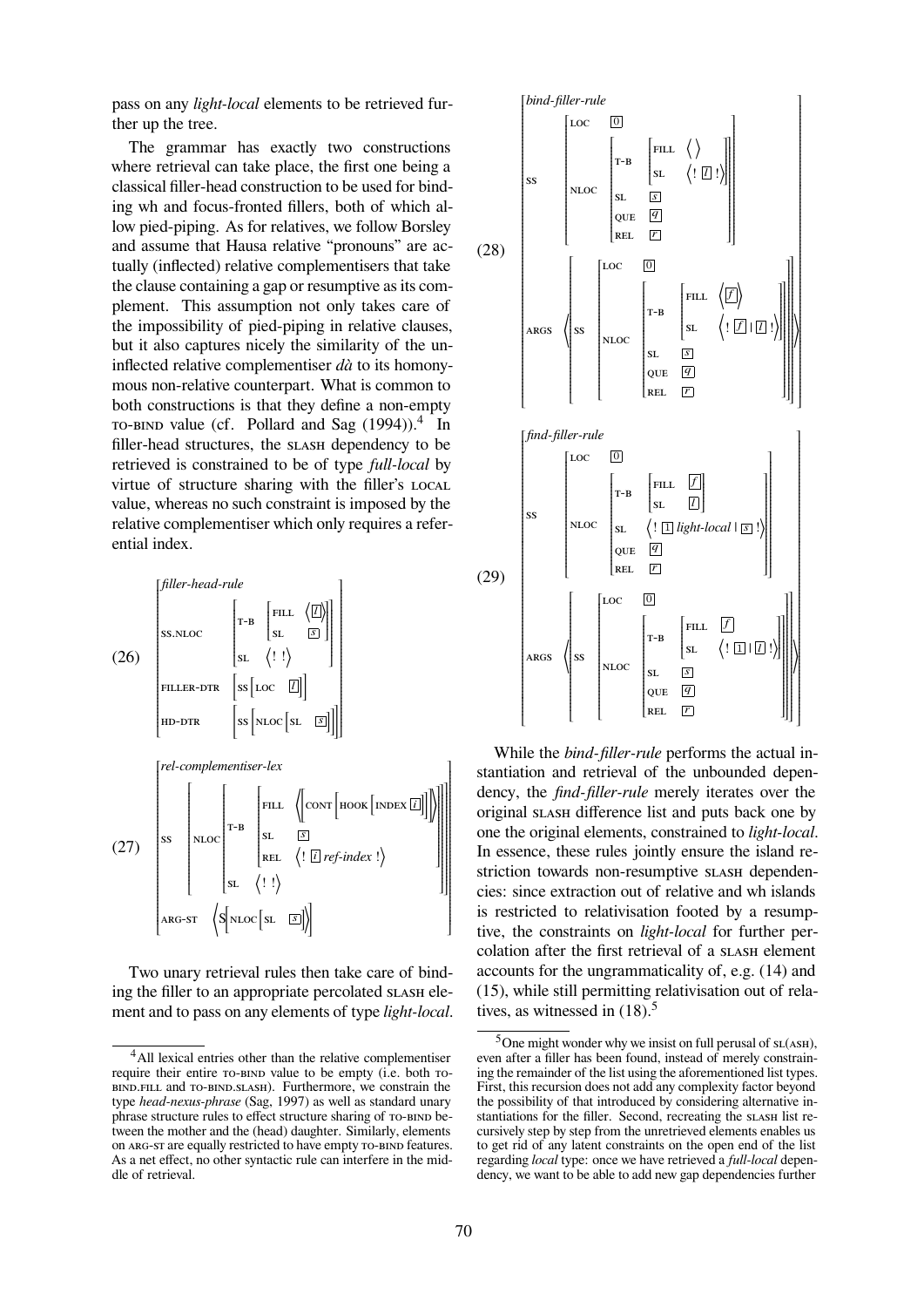pass on any *light-local* elements to be retrieved further up the tree.

The grammar has exactly two constructions where retrieval can take place, the first one being a classical filler-head construction to be used for binding wh and focus-fronted fillers, both of which allow pied-piping. As for relatives, we follow Borsley and assume that Hausa relative "pronouns" are actually (inflected) relative complementisers that take the clause containing a gap or resumptive as its complement. This assumption not only takes care of the impossibility of pied-piping in relative clauses, but it also captures nicely the similarity of the uninflected relative complementiser *dà* to its homonymous non-relative counterpart. What is common to both constructions is that they define a non-empty TO-BIND value (cf. Pollard and Sag  $(1994)$ ).<sup>4</sup> In filler-head structures, the sLASH dependency to be retrieved is constrained to be of type *full-local* by virtue of structure sharing with the filler's LOCAL value, whereas no such constraint is imposed by the relative complementiser which only requires a referential index.

(26)

\n
$$
\begin{bmatrix}\n\text{filter-head-rule} \\
\text{s}_{\text{S.NLOC}} & \begin{bmatrix}\n\text{FIL} & \langle \boxed{L} \rangle \\
\text{s}_{\text{S.NLOC}} & \begin{bmatrix}\n\text{FIL} & \langle \boxed{L} \rangle \\
\text{s}_{\text{L}} & \langle \frac{1}{2} \rangle\n\end{bmatrix}\n\end{bmatrix}
$$
\n
$$
\text{FILLER-DTR} & \begin{bmatrix}\n\text{ss} \begin{bmatrix}\n\text{loc} & \boxed{L}\n\end{bmatrix}\n\end{bmatrix}
$$
\n
$$
\text{FD-DTR} & \begin{bmatrix}\n\text{ss} \begin{bmatrix}\n\text{NLOC} & \text{s}{\text{E}} & \boxed{L}\n\end{bmatrix}\n\end{bmatrix}
$$
\n
$$
\text{(27)}
$$
\n
$$
\text{ss} \begin{bmatrix}\n\text{NLOC} & \begin{bmatrix}\n\text{FIL} & \langle \boxed{L} \text{corr} & \boxed{H} \text{OOK} \begin{bmatrix}\n\text{NDEC} & \boxed{L}\n\end{bmatrix}\n\end{bmatrix}\n\end{bmatrix}
$$
\n
$$
\text{REC} & \langle \frac{1}{2} \rangle & \langle \frac{1}{2} \rangle & \langle \frac{1}{2} \rangle & \langle \frac{1}{2} \rangle & \langle \frac{1}{2} \rangle & \langle \frac{1}{2} \rangle & \langle \frac{1}{2} \rangle & \langle \frac{1}{2} \rangle & \langle \frac{1}{2} \rangle & \langle \frac{1}{2} \rangle & \langle \frac{1}{2} \rangle & \langle \frac{1}{2} \rangle & \langle \frac{1}{2} \rangle & \langle \frac{1}{2} \rangle & \langle \frac{1}{2} \rangle & \langle \frac{1}{2} \rangle & \langle \frac{1}{2} \rangle & \langle \frac{1}{2} \rangle & \langle \frac{1}{2} \rangle & \langle \frac{1}{2} \rangle & \langle \frac{1}{2} \rangle & \langle \frac{1}{2} \rangle & \langle \frac{1}{2} \rangle & \langle \frac{1}{2} \rangle & \langle \frac{1}{2} \rangle & \langle \frac{1}{2} \rangle & \langle \frac{1}{2} \rangle & \langle \frac{1}{2} \rangle & \langle \frac{1}{2} \rangle & \langle \frac{1}{2} \rangle & \langle \
$$

Two unary retrieval rules then take care of binding the filler to an appropriate percolated SLASH element and to pass on any elements of type *light-local*.



While the *bind-filler-rule* performs the actual instantiation and retrieval of the unbounded dependency, the *find-filler-rule* merely iterates over the original sLASH difference list and puts back one by one the original elements, constrained to *light-local*. In essence, these rules jointly ensure the island restriction towards non-resumptive sLASH dependencies: since extraction out of relative and wh islands is restricted to relativisation footed by a resumptive, the constraints on *light-local* for further percolation after the first retrieval of a sLASH element accounts for the ungrammaticality of, e.g. (14) and (15), while still permitting relativisation out of relatives, as witnessed in  $(18)$ .<sup>5</sup>

l

<sup>&</sup>lt;sup>4</sup>All lexical entries other than the relative complementiser require their entire то-витр value to be empty (i.e. both то-BIND.FILL and TO-BIND.SLASH). Furthermore, we constrain the type *head-nexus-phrase* (Sag, 1997) as well as standard unary phrase structure rules to effect structure sharing of TO-BIND between the mother and the (head) daughter. Similarly, elements on ARG-ST are equally restricted to have empty TO-BIND features. As a net effect, no other syntactic rule can interfere in the middle of retrieval.

 $5$ One might wonder why we insist on full perusal of  $SL(ASH)$ , even after a filler has been found, instead of merely constraining the remainder of the list using the aforementioned list types. First, this recursion does not add any complexity factor beyond the possibility of that introduced by considering alternative instantiations for the filler. Second, recreating the sLASH list recursively step by step from the unretrieved elements enables us to get rid of any latent constraints on the open end of the list regarding *local* type: once we have retrieved a *full-local* dependency, we want to be able to add new gap dependencies further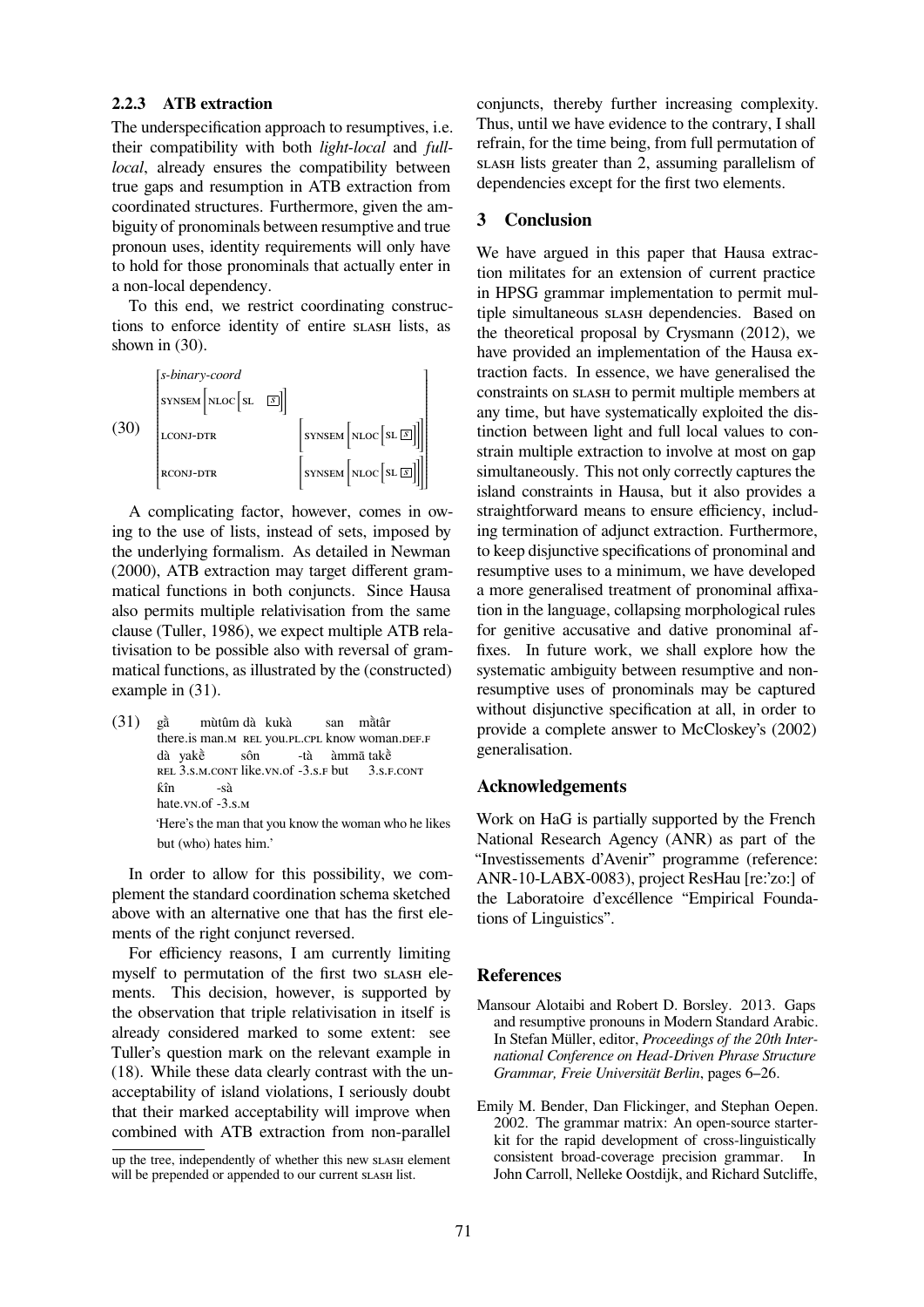### **2.2.3 ATB extraction**

The underspecification approach to resumptives, i.e. their compatibility with both *light-local* and *fulllocal*, already ensures the compatibility between true gaps and resumption in ATB extraction from coordinated structures. Furthermore, given the ambiguity of pronominals between resumptive and true pronoun uses, identity requirements will only have to hold for those pronominals that actually enter in a non-local dependency.

To this end, we restrict coordinating constructions to enforce identity of entire slasher lists, as shown in (30).



A complicating factor, however, comes in owing to the use of lists, instead of sets, imposed by the underlying formalism. As detailed in Newman (2000), ATB extraction may target different grammatical functions in both conjuncts. Since Hausa also permits multiple relativisation from the same clause (Tuller, 1986), we expect multiple ATB relativisation to be possible also with reversal of grammatical functions, as illustrated by the (constructed) example in (31).

(31) gā̀ there.is man.M REL you.PL.CPL know woman.DEF.F mùtûm dà kukà san mā̀târ dà yakḕ REL 3.S.M.CONT like.VN.of -3.s.F but 3.S.F.CONT sôn -tà àmmā takḕ ƙîn hate.vn.of -3.s.m -sà 'Here's the man that you know the woman who he likes but (who) hates him.'

In order to allow for this possibility, we complement the standard coordination schema sketched above with an alternative one that has the first elements of the right conjunct reversed.

For efficiency reasons, I am currently limiting myself to permutation of the first two slash elements. This decision, however, is supported by the observation that triple relativisation in itself is already considered marked to some extent: see Tuller's question mark on the relevant example in (18). While these data clearly contrast with the unacceptability of island violations, I seriously doubt that their marked acceptability will improve when combined with ATB extraction from non-parallel

conjuncts, thereby further increasing complexity. Thus, until we have evidence to the contrary, I shall refrain, for the time being, from full permutation of SLASH lists greater than 2, assuming parallelism of dependencies except for the first two elements.

## **3 Conclusion**

We have argued in this paper that Hausa extraction militates for an extension of current practice in HPSG grammar implementation to permit multiple simultaneous sLASH dependencies. Based on the theoretical proposal by Crysmann (2012), we have provided an implementation of the Hausa extraction facts. In essence, we have generalised the constraints on slash to permit multiple members at any time, but have systematically exploited the distinction between light and full local values to constrain multiple extraction to involve at most on gap simultaneously. This not only correctly captures the island constraints in Hausa, but it also provides a straightforward means to ensure efficiency, including termination of adjunct extraction. Furthermore, to keep disjunctive specifications of pronominal and resumptive uses to a minimum, we have developed a more generalised treatment of pronominal affixation in the language, collapsing morphological rules for genitive accusative and dative pronominal affixes. In future work, we shall explore how the systematic ambiguity between resumptive and nonresumptive uses of pronominals may be captured without disjunctive specification at all, in order to provide a complete answer to McCloskey's (2002) generalisation.

#### **Acknowledgements**

Work on HaG is partially supported by the French National Research Agency (ANR) as part of the "Investissements d'Avenir" programme (reference: ANR-10-LABX-0083), project ResHau [re:'zo:] of the Laboratoire d'excéllence "Empirical Foundations of Linguistics".

### **References**

- Mansour Alotaibi and Robert D. Borsley. 2013. Gaps and resumptive pronouns in Modern Standard Arabic. In Stefan Müller, editor, *Proceedings of the 20th International Conference on Head-Driven Phrase Structure Grammar, Freie Universität Berlin*, pages 6–26.
- Emily M. Bender, Dan Flickinger, and Stephan Oepen. 2002. The grammar matrix: An open-source starterkit for the rapid development of cross-linguistically consistent broad-coverage precision grammar. In John Carroll, Nelleke Oostdijk, and Richard Sutcliffe,

up the tree, independently of whether this new slash element will be prepended or appended to our current sLASH list.